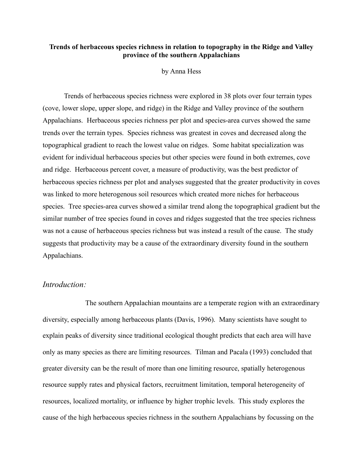### **Trends of herbaceous species richness in relation to topography in the Ridge and Valley province of the southern Appalachians**

### by Anna Hess

Trends of herbaceous species richness were explored in 38 plots over four terrain types (cove, lower slope, upper slope, and ridge) in the Ridge and Valley province of the southern Appalachians. Herbaceous species richness per plot and species-area curves showed the same trends over the terrain types. Species richness was greatest in coves and decreased along the topographical gradient to reach the lowest value on ridges. Some habitat specialization was evident for individual herbaceous species but other species were found in both extremes, cove and ridge. Herbaceous percent cover, a measure of productivity, was the best predictor of herbaceous species richness per plot and analyses suggested that the greater productivity in coves was linked to more heterogenous soil resources which created more niches for herbaceous species. Tree species-area curves showed a similar trend along the topographical gradient but the similar number of tree species found in coves and ridges suggested that the tree species richness was not a cause of herbaceous species richness but was instead a result of the cause. The study suggests that productivity may be a cause of the extraordinary diversity found in the southern Appalachians.

# *Introduction:*

The southern Appalachian mountains are a temperate region with an extraordinary diversity, especially among herbaceous plants (Davis, 1996). Many scientists have sought to explain peaks of diversity since traditional ecological thought predicts that each area will have only as many species as there are limiting resources. Tilman and Pacala (1993) concluded that greater diversity can be the result of more than one limiting resource, spatially heterogenous resource supply rates and physical factors, recruitment limitation, temporal heterogeneity of resources, localized mortality, or influence by higher trophic levels. This study explores the cause of the high herbaceous species richness in the southern Appalachians by focussing on the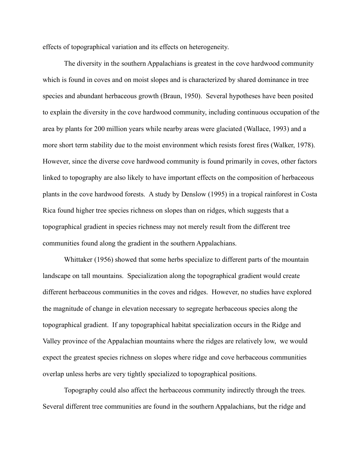effects of topographical variation and its effects on heterogeneity.

The diversity in the southern Appalachians is greatest in the cove hardwood community which is found in coves and on moist slopes and is characterized by shared dominance in tree species and abundant herbaceous growth (Braun, 1950). Several hypotheses have been posited to explain the diversity in the cove hardwood community, including continuous occupation of the area by plants for 200 million years while nearby areas were glaciated (Wallace, 1993) and a more short term stability due to the moist environment which resists forest fires (Walker, 1978). However, since the diverse cove hardwood community is found primarily in coves, other factors linked to topography are also likely to have important effects on the composition of herbaceous plants in the cove hardwood forests. A study by Denslow (1995) in a tropical rainforest in Costa Rica found higher tree species richness on slopes than on ridges, which suggests that a topographical gradient in species richness may not merely result from the different tree communities found along the gradient in the southern Appalachians.

Whittaker (1956) showed that some herbs specialize to different parts of the mountain landscape on tall mountains. Specialization along the topographical gradient would create different herbaceous communities in the coves and ridges. However, no studies have explored the magnitude of change in elevation necessary to segregate herbaceous species along the topographical gradient. If any topographical habitat specialization occurs in the Ridge and Valley province of the Appalachian mountains where the ridges are relatively low, we would expect the greatest species richness on slopes where ridge and cove herbaceous communities overlap unless herbs are very tightly specialized to topographical positions.

Topography could also affect the herbaceous community indirectly through the trees. Several different tree communities are found in the southern Appalachians, but the ridge and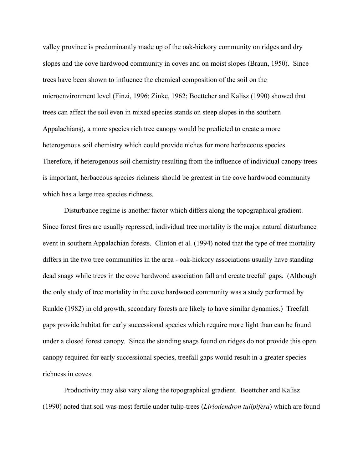valley province is predominantly made up of the oak-hickory community on ridges and dry slopes and the cove hardwood community in coves and on moist slopes (Braun, 1950). Since trees have been shown to influence the chemical composition of the soil on the microenvironment level (Finzi, 1996; Zinke, 1962; Boettcher and Kalisz (1990) showed that trees can affect the soil even in mixed species stands on steep slopes in the southern Appalachians), a more species rich tree canopy would be predicted to create a more heterogenous soil chemistry which could provide niches for more herbaceous species. Therefore, if heterogenous soil chemistry resulting from the influence of individual canopy trees is important, herbaceous species richness should be greatest in the cove hardwood community which has a large tree species richness.

Disturbance regime is another factor which differs along the topographical gradient. Since forest fires are usually repressed, individual tree mortality is the major natural disturbance event in southern Appalachian forests. Clinton et al. (1994) noted that the type of tree mortality differs in the two tree communities in the area - oak-hickory associations usually have standing dead snags while trees in the cove hardwood association fall and create treefall gaps. (Although the only study of tree mortality in the cove hardwood community was a study performed by Runkle (1982) in old growth, secondary forests are likely to have similar dynamics.) Treefall gaps provide habitat for early successional species which require more light than can be found under a closed forest canopy. Since the standing snags found on ridges do not provide this open canopy required for early successional species, treefall gaps would result in a greater species richness in coves.

Productivity may also vary along the topographical gradient. Boettcher and Kalisz (1990) noted that soil was most fertile under tulip-trees (*Liriodendron tulipifera*) which are found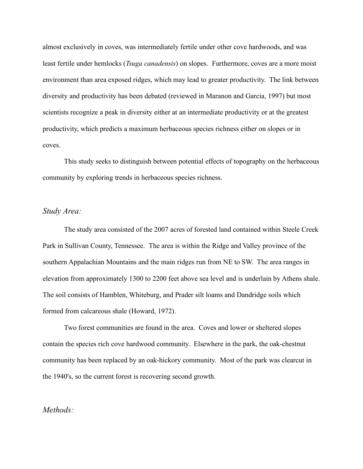almost exclusively in coves, was intermediately fertile under other cove hardwoods, and was least fertile under hemlocks (*Tsuga canadensis*) on slopes. Furthermore, coves are a more moist environment than area exposed ridges, which may lead to greater productivity. The link between diversity and productivity has been debated (reviewed in Maranon and Garcia, 1997) but most scientists recognize a peak in diversity either at an intermediate productivity or at the greatest productivity, which predicts a maximum herbaceous species richness either on slopes or in coves.

This study seeks to distinguish between potential effects of topography on the herbaceous community by exploring trends in herbaceous species richness.

### *Study Area:*

The study area consisted of the 2007 acres of forested land contained within Steele Creek Park in Sullivan County, Tennessee. The area is within the Ridge and Valley province of the southern Appalachian Mountains and the main ridges run from NE to SW. The area ranges in elevation from approximately 1300 to 2200 feet above sea level and is underlain by Athens shale. The soil consists of Hamblen, Whiteburg, and Prader silt loams and Dandridge soils which formed from calcareous shale (Howard, 1972).

Two forest communities are found in the area. Coves and lower or sheltered slopes contain the species rich cove hardwood community. Elsewhere in the park, the oak-chestnut community has been replaced by an oak-hickory community. Most of the park was clearcut in the 1940's, so the current forest is recovering second growth.

### *Methods:*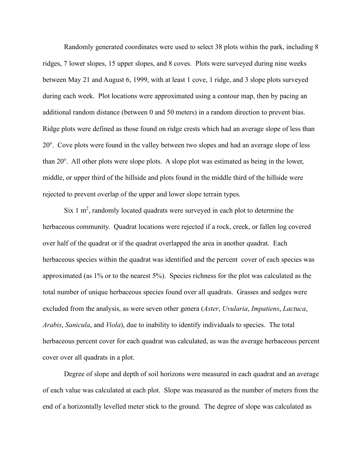Randomly generated coordinates were used to select 38 plots within the park, including 8 ridges, 7 lower slopes, 15 upper slopes, and 8 coves. Plots were surveyed during nine weeks between May 21 and August 6, 1999, with at least 1 cove, 1 ridge, and 3 slope plots surveyed during each week. Plot locations were approximated using a contour map, then by pacing an additional random distance (between 0 and 50 meters) in a random direction to prevent bias. Ridge plots were defined as those found on ridge crests which had an average slope of less than 20°. Cove plots were found in the valley between two slopes and had an average slope of less than 20°. All other plots were slope plots. A slope plot was estimated as being in the lower, middle, or upper third of the hillside and plots found in the middle third of the hillside were rejected to prevent overlap of the upper and lower slope terrain types.

Six 1  $m^2$ , randomly located quadrats were surveyed in each plot to determine the herbaceous community. Quadrat locations were rejected if a rock, creek, or fallen log covered over half of the quadrat or if the quadrat overlapped the area in another quadrat. Each herbaceous species within the quadrat was identified and the percent cover of each species was approximated (as 1% or to the nearest 5%). Species richness for the plot was calculated as the total number of unique herbaceous species found over all quadrats. Grasses and sedges were excluded from the analysis, as were seven other genera (*Aster*, *Uvularia*, *Impatiens*, *Lactuca*, *Arabis*, *Sanicula*, and *Viola*), due to inability to identify individuals to species. The total herbaceous percent cover for each quadrat was calculated, as was the average herbaceous percent cover over all quadrats in a plot.

Degree of slope and depth of soil horizons were measured in each quadrat and an average of each value was calculated at each plot. Slope was measured as the number of meters from the end of a horizontally levelled meter stick to the ground. The degree of slope was calculated as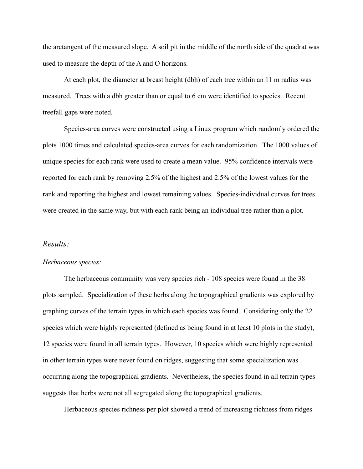the arctangent of the measured slope. A soil pit in the middle of the north side of the quadrat was used to measure the depth of the A and O horizons.

At each plot, the diameter at breast height (dbh) of each tree within an 11 m radius was measured. Trees with a dbh greater than or equal to 6 cm were identified to species. Recent treefall gaps were noted.

Species-area curves were constructed using a Linux program which randomly ordered the plots 1000 times and calculated species-area curves for each randomization. The 1000 values of unique species for each rank were used to create a mean value. 95% confidence intervals were reported for each rank by removing 2.5% of the highest and 2.5% of the lowest values for the rank and reporting the highest and lowest remaining values. Species-individual curves for trees were created in the same way, but with each rank being an individual tree rather than a plot.

### *Results:*

#### *Herbaceous species:*

The herbaceous community was very species rich - 108 species were found in the 38 plots sampled. Specialization of these herbs along the topographical gradients was explored by graphing curves of the terrain types in which each species was found. Considering only the 22 species which were highly represented (defined as being found in at least 10 plots in the study), 12 species were found in all terrain types. However, 10 species which were highly represented in other terrain types were never found on ridges, suggesting that some specialization was occurring along the topographical gradients. Nevertheless, the species found in all terrain types suggests that herbs were not all segregated along the topographical gradients.

Herbaceous species richness per plot showed a trend of increasing richness from ridges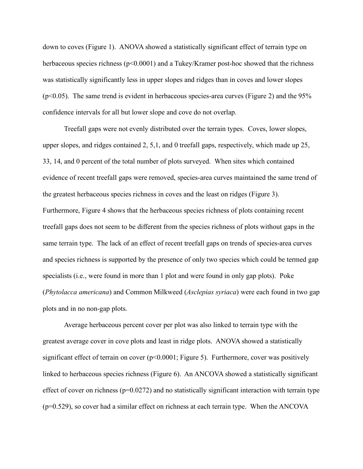down to coves (Figure 1). ANOVA showed a statistically significant effect of terrain type on herbaceous species richness ( $p<0.0001$ ) and a Tukey/Kramer post-hoc showed that the richness was statistically significantly less in upper slopes and ridges than in coves and lower slopes  $(p<0.05)$ . The same trend is evident in herbaceous species-area curves (Figure 2) and the 95% confidence intervals for all but lower slope and cove do not overlap.

Treefall gaps were not evenly distributed over the terrain types. Coves, lower slopes, upper slopes, and ridges contained 2, 5,1, and 0 treefall gaps, respectively, which made up 25, 33, 14, and 0 percent of the total number of plots surveyed. When sites which contained evidence of recent treefall gaps were removed, species-area curves maintained the same trend of the greatest herbaceous species richness in coves and the least on ridges (Figure 3). Furthermore, Figure 4 shows that the herbaceous species richness of plots containing recent treefall gaps does not seem to be different from the species richness of plots without gaps in the same terrain type. The lack of an effect of recent treefall gaps on trends of species-area curves and species richness is supported by the presence of only two species which could be termed gap specialists (i.e., were found in more than 1 plot and were found in only gap plots). Poke (*Phytolacca americana*) and Common Milkweed (*Asclepias syriaca*) were each found in two gap plots and in no non-gap plots.

Average herbaceous percent cover per plot was also linked to terrain type with the greatest average cover in cove plots and least in ridge plots. ANOVA showed a statistically significant effect of terrain on cover  $(p<0.0001;$  Figure 5). Furthermore, cover was positively linked to herbaceous species richness (Figure 6). An ANCOVA showed a statistically significant effect of cover on richness ( $p=0.0272$ ) and no statistically significant interaction with terrain type  $(p=0.529)$ , so cover had a similar effect on richness at each terrain type. When the ANCOVA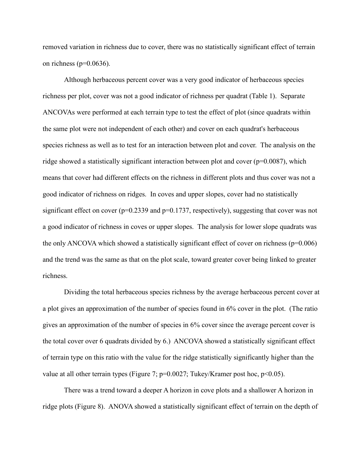removed variation in richness due to cover, there was no statistically significant effect of terrain on richness ( $p=0.0636$ ).

Although herbaceous percent cover was a very good indicator of herbaceous species richness per plot, cover was not a good indicator of richness per quadrat (Table 1). Separate ANCOVAs were performed at each terrain type to test the effect of plot (since quadrats within the same plot were not independent of each other) and cover on each quadrat's herbaceous species richness as well as to test for an interaction between plot and cover. The analysis on the ridge showed a statistically significant interaction between plot and cover (p=0.0087), which means that cover had different effects on the richness in different plots and thus cover was not a good indicator of richness on ridges. In coves and upper slopes, cover had no statistically significant effect on cover ( $p=0.2339$  and  $p=0.1737$ , respectively), suggesting that cover was not a good indicator of richness in coves or upper slopes. The analysis for lower slope quadrats was the only ANCOVA which showed a statistically significant effect of cover on richness ( $p=0.006$ ) and the trend was the same as that on the plot scale, toward greater cover being linked to greater richness.

Dividing the total herbaceous species richness by the average herbaceous percent cover at a plot gives an approximation of the number of species found in 6% cover in the plot. (The ratio gives an approximation of the number of species in 6% cover since the average percent cover is the total cover over 6 quadrats divided by 6.) ANCOVA showed a statistically significant effect of terrain type on this ratio with the value for the ridge statistically significantly higher than the value at all other terrain types (Figure 7;  $p=0.0027$ ; Tukey/Kramer post hoc,  $p<0.05$ ).

There was a trend toward a deeper A horizon in cove plots and a shallower A horizon in ridge plots (Figure 8). ANOVA showed a statistically significant effect of terrain on the depth of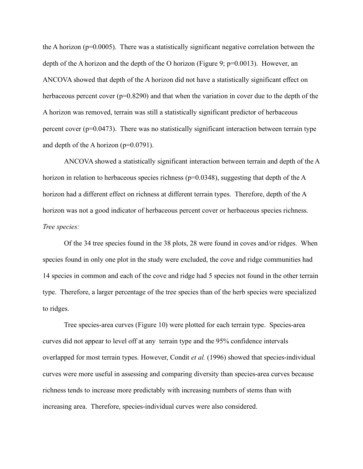the A horizon ( $p=0.0005$ ). There was a statistically significant negative correlation between the depth of the A horizon and the depth of the O horizon (Figure 9;  $p=0.0013$ ). However, an ANCOVA showed that depth of the A horizon did not have a statistically significant effect on herbaceous percent cover ( $p=0.8290$ ) and that when the variation in cover due to the depth of the A horizon was removed, terrain was still a statistically significant predictor of herbaceous percent cover ( $p=0.0473$ ). There was no statistically significant interaction between terrain type and depth of the A horizon  $(p=0.0791)$ .

ANCOVA showed a statistically significant interaction between terrain and depth of the A horizon in relation to herbaceous species richness ( $p=0.0348$ ), suggesting that depth of the A horizon had a different effect on richness at different terrain types. Therefore, depth of the A horizon was not a good indicator of herbaceous percent cover or herbaceous species richness. *Tree species:*

Of the 34 tree species found in the 38 plots, 28 were found in coves and/or ridges. When species found in only one plot in the study were excluded, the cove and ridge communities had 14 species in common and each of the cove and ridge had 5 species not found in the other terrain type. Therefore, a larger percentage of the tree species than of the herb species were specialized to ridges.

Tree species-area curves (Figure 10) were plotted for each terrain type. Species-area curves did not appear to level off at any terrain type and the 95% confidence intervals overlapped for most terrain types. However, Condit *et al.* (1996) showed that species-individual curves were more useful in assessing and comparing diversity than species-area curves because richness tends to increase more predictably with increasing numbers of stems than with increasing area. Therefore, species-individual curves were also considered.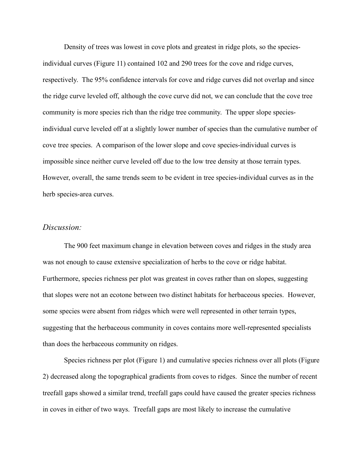Density of trees was lowest in cove plots and greatest in ridge plots, so the speciesindividual curves (Figure 11) contained 102 and 290 trees for the cove and ridge curves, respectively. The 95% confidence intervals for cove and ridge curves did not overlap and since the ridge curve leveled off, although the cove curve did not, we can conclude that the cove tree community is more species rich than the ridge tree community. The upper slope speciesindividual curve leveled off at a slightly lower number of species than the cumulative number of cove tree species. A comparison of the lower slope and cove species-individual curves is impossible since neither curve leveled off due to the low tree density at those terrain types. However, overall, the same trends seem to be evident in tree species-individual curves as in the herb species-area curves.

## *Discussion:*

The 900 feet maximum change in elevation between coves and ridges in the study area was not enough to cause extensive specialization of herbs to the cove or ridge habitat. Furthermore, species richness per plot was greatest in coves rather than on slopes, suggesting that slopes were not an ecotone between two distinct habitats for herbaceous species. However, some species were absent from ridges which were well represented in other terrain types, suggesting that the herbaceous community in coves contains more well-represented specialists than does the herbaceous community on ridges.

Species richness per plot (Figure 1) and cumulative species richness over all plots (Figure 2) decreased along the topographical gradients from coves to ridges. Since the number of recent treefall gaps showed a similar trend, treefall gaps could have caused the greater species richness in coves in either of two ways. Treefall gaps are most likely to increase the cumulative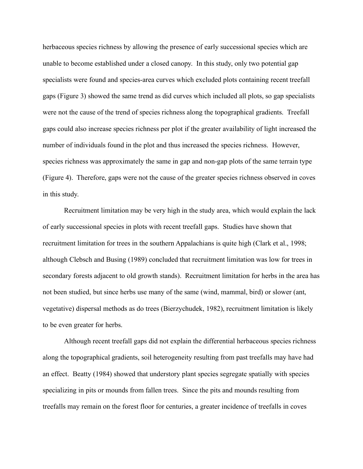herbaceous species richness by allowing the presence of early successional species which are unable to become established under a closed canopy. In this study, only two potential gap specialists were found and species-area curves which excluded plots containing recent treefall gaps (Figure 3) showed the same trend as did curves which included all plots, so gap specialists were not the cause of the trend of species richness along the topographical gradients. Treefall gaps could also increase species richness per plot if the greater availability of light increased the number of individuals found in the plot and thus increased the species richness. However, species richness was approximately the same in gap and non-gap plots of the same terrain type (Figure 4). Therefore, gaps were not the cause of the greater species richness observed in coves in this study.

Recruitment limitation may be very high in the study area, which would explain the lack of early successional species in plots with recent treefall gaps. Studies have shown that recruitment limitation for trees in the southern Appalachians is quite high (Clark et al., 1998; although Clebsch and Busing (1989) concluded that recruitment limitation was low for trees in secondary forests adjacent to old growth stands). Recruitment limitation for herbs in the area has not been studied, but since herbs use many of the same (wind, mammal, bird) or slower (ant, vegetative) dispersal methods as do trees (Bierzychudek, 1982), recruitment limitation is likely to be even greater for herbs.

Although recent treefall gaps did not explain the differential herbaceous species richness along the topographical gradients, soil heterogeneity resulting from past treefalls may have had an effect. Beatty (1984) showed that understory plant species segregate spatially with species specializing in pits or mounds from fallen trees. Since the pits and mounds resulting from treefalls may remain on the forest floor for centuries, a greater incidence of treefalls in coves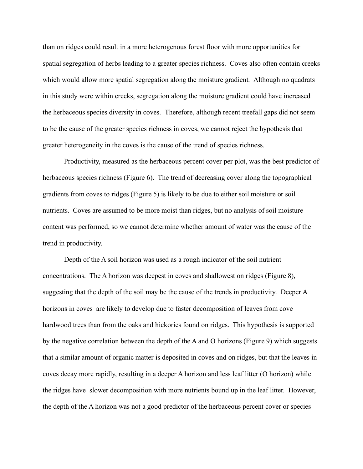than on ridges could result in a more heterogenous forest floor with more opportunities for spatial segregation of herbs leading to a greater species richness. Coves also often contain creeks which would allow more spatial segregation along the moisture gradient. Although no quadrats in this study were within creeks, segregation along the moisture gradient could have increased the herbaceous species diversity in coves. Therefore, although recent treefall gaps did not seem to be the cause of the greater species richness in coves, we cannot reject the hypothesis that greater heterogeneity in the coves is the cause of the trend of species richness.

Productivity, measured as the herbaceous percent cover per plot, was the best predictor of herbaceous species richness (Figure 6). The trend of decreasing cover along the topographical gradients from coves to ridges (Figure 5) is likely to be due to either soil moisture or soil nutrients. Coves are assumed to be more moist than ridges, but no analysis of soil moisture content was performed, so we cannot determine whether amount of water was the cause of the trend in productivity.

Depth of the A soil horizon was used as a rough indicator of the soil nutrient concentrations. The A horizon was deepest in coves and shallowest on ridges (Figure 8), suggesting that the depth of the soil may be the cause of the trends in productivity. Deeper A horizons in coves are likely to develop due to faster decomposition of leaves from cove hardwood trees than from the oaks and hickories found on ridges. This hypothesis is supported by the negative correlation between the depth of the A and O horizons (Figure 9) which suggests that a similar amount of organic matter is deposited in coves and on ridges, but that the leaves in coves decay more rapidly, resulting in a deeper A horizon and less leaf litter (O horizon) while the ridges have slower decomposition with more nutrients bound up in the leaf litter. However, the depth of the A horizon was not a good predictor of the herbaceous percent cover or species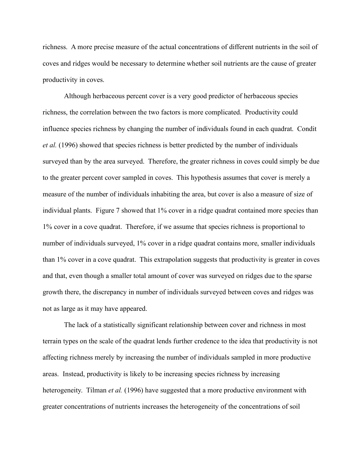richness. A more precise measure of the actual concentrations of different nutrients in the soil of coves and ridges would be necessary to determine whether soil nutrients are the cause of greater productivity in coves.

Although herbaceous percent cover is a very good predictor of herbaceous species richness, the correlation between the two factors is more complicated. Productivity could influence species richness by changing the number of individuals found in each quadrat. Condit *et al.* (1996) showed that species richness is better predicted by the number of individuals surveyed than by the area surveyed. Therefore, the greater richness in coves could simply be due to the greater percent cover sampled in coves. This hypothesis assumes that cover is merely a measure of the number of individuals inhabiting the area, but cover is also a measure of size of individual plants. Figure 7 showed that 1% cover in a ridge quadrat contained more species than 1% cover in a cove quadrat. Therefore, if we assume that species richness is proportional to number of individuals surveyed, 1% cover in a ridge quadrat contains more, smaller individuals than 1% cover in a cove quadrat. This extrapolation suggests that productivity is greater in coves and that, even though a smaller total amount of cover was surveyed on ridges due to the sparse growth there, the discrepancy in number of individuals surveyed between coves and ridges was not as large as it may have appeared.

The lack of a statistically significant relationship between cover and richness in most terrain types on the scale of the quadrat lends further credence to the idea that productivity is not affecting richness merely by increasing the number of individuals sampled in more productive areas. Instead, productivity is likely to be increasing species richness by increasing heterogeneity. Tilman *et al.* (1996) have suggested that a more productive environment with greater concentrations of nutrients increases the heterogeneity of the concentrations of soil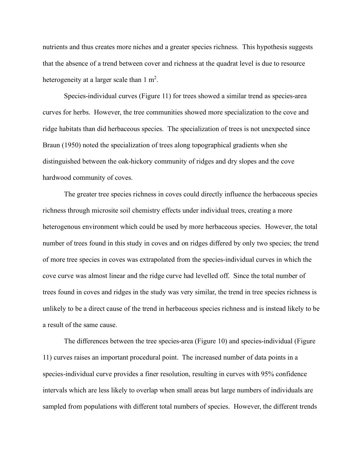nutrients and thus creates more niches and a greater species richness. This hypothesis suggests that the absence of a trend between cover and richness at the quadrat level is due to resource heterogeneity at a larger scale than  $1 \text{ m}^2$ .

Species-individual curves (Figure 11) for trees showed a similar trend as species-area curves for herbs. However, the tree communities showed more specialization to the cove and ridge habitats than did herbaceous species. The specialization of trees is not unexpected since Braun (1950) noted the specialization of trees along topographical gradients when she distinguished between the oak-hickory community of ridges and dry slopes and the cove hardwood community of coves.

The greater tree species richness in coves could directly influence the herbaceous species richness through microsite soil chemistry effects under individual trees, creating a more heterogenous environment which could be used by more herbaceous species. However, the total number of trees found in this study in coves and on ridges differed by only two species; the trend of more tree species in coves was extrapolated from the species-individual curves in which the cove curve was almost linear and the ridge curve had levelled off. Since the total number of trees found in coves and ridges in the study was very similar, the trend in tree species richness is unlikely to be a direct cause of the trend in herbaceous species richness and is instead likely to be a result of the same cause.

The differences between the tree species-area (Figure 10) and species-individual (Figure 11) curves raises an important procedural point. The increased number of data points in a species-individual curve provides a finer resolution, resulting in curves with 95% confidence intervals which are less likely to overlap when small areas but large numbers of individuals are sampled from populations with different total numbers of species. However, the different trends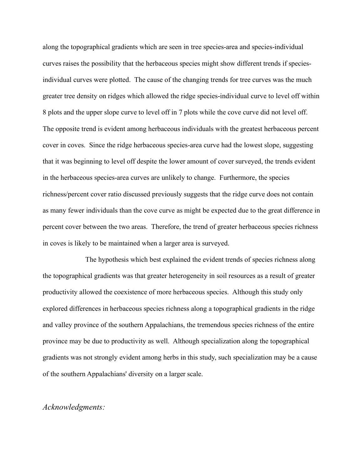along the topographical gradients which are seen in tree species-area and species-individual curves raises the possibility that the herbaceous species might show different trends if speciesindividual curves were plotted. The cause of the changing trends for tree curves was the much greater tree density on ridges which allowed the ridge species-individual curve to level off within 8 plots and the upper slope curve to level off in 7 plots while the cove curve did not level off. The opposite trend is evident among herbaceous individuals with the greatest herbaceous percent cover in coves. Since the ridge herbaceous species-area curve had the lowest slope, suggesting that it was beginning to level off despite the lower amount of cover surveyed, the trends evident in the herbaceous species-area curves are unlikely to change. Furthermore, the species richness/percent cover ratio discussed previously suggests that the ridge curve does not contain as many fewer individuals than the cove curve as might be expected due to the great difference in percent cover between the two areas. Therefore, the trend of greater herbaceous species richness in coves is likely to be maintained when a larger area is surveyed.

The hypothesis which best explained the evident trends of species richness along the topographical gradients was that greater heterogeneity in soil resources as a result of greater productivity allowed the coexistence of more herbaceous species. Although this study only explored differences in herbaceous species richness along a topographical gradients in the ridge and valley province of the southern Appalachians, the tremendous species richness of the entire province may be due to productivity as well. Although specialization along the topographical gradients was not strongly evident among herbs in this study, such specialization may be a cause of the southern Appalachians' diversity on a larger scale.

# *Acknowledgments:*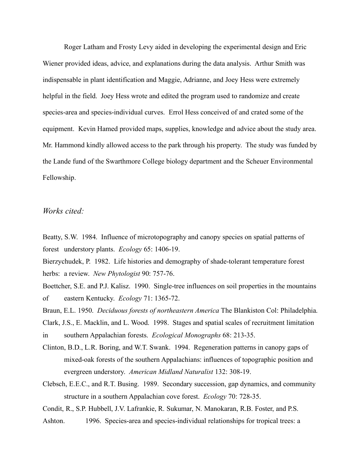Roger Latham and Frosty Levy aided in developing the experimental design and Eric Wiener provided ideas, advice, and explanations during the data analysis. Arthur Smith was indispensable in plant identification and Maggie, Adrianne, and Joey Hess were extremely helpful in the field. Joey Hess wrote and edited the program used to randomize and create species-area and species-individual curves. Errol Hess conceived of and crated some of the equipment. Kevin Hamed provided maps, supplies, knowledge and advice about the study area. Mr. Hammond kindly allowed access to the park through his property. The study was funded by the Lande fund of the Swarthmore College biology department and the Scheuer Environmental Fellowship.

## *Works cited:*

Beatty, S.W. 1984. Influence of microtopography and canopy species on spatial patterns of forest understory plants. *Ecology* 65: 1406-19.

Bierzychudek, P. 1982. Life histories and demography of shade-tolerant temperature forest herbs: a review. *New Phytologist* 90: 757-76.

- Boettcher, S.E. and P.J. Kalisz. 1990. Single-tree influences on soil properties in the mountains of eastern Kentucky. *Ecology* 71: 1365-72.
- Braun, E.L. 1950. *Deciduous forests of northeastern America* The Blankiston Col: Philadelphia.
- Clark, J.S., E. Macklin, and L. Wood. 1998. Stages and spatial scales of recruitment limitation

in southern Appalachian forests. *Ecological Monographs* 68: 213-35.

- Clinton, B.D., L.R. Boring, and W.T. Swank. 1994. Regeneration patterns in canopy gaps of mixed-oak forests of the southern Appalachians: influences of topographic position and evergreen understory. *American Midland Naturalist* 132: 308-19.
- Clebsch, E.E.C., and R.T. Busing. 1989. Secondary succession, gap dynamics, and community structure in a southern Appalachian cove forest. *Ecology* 70: 728-35.

Condit, R., S.P. Hubbell, J.V. Lafrankie, R. Sukumar, N. Manokaran, R.B. Foster, and P.S.

Ashton. 1996. Species-area and species-individual relationships for tropical trees: a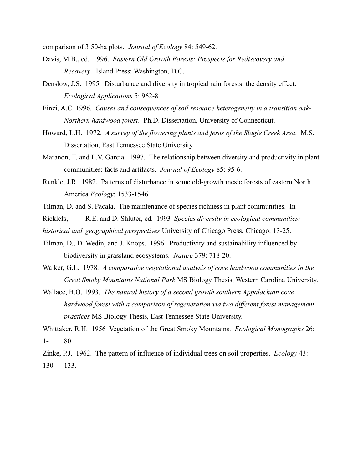comparison of 3 50-ha plots. *Journal of Ecology* 84: 549-62.

- Davis, M.B., ed. 1996. *Eastern Old Growth Forests: Prospects for Rediscovery and Recovery*. Island Press: Washington, D.C.
- Denslow, J.S. 1995. Disturbance and diversity in tropical rain forests: the density effect. *Ecological Applications* 5: 962-8.
- Finzi, A.C. 1996. *Causes and consequences of soil resource heterogeneity in a transition oak-Northern hardwood forest*. Ph.D. Dissertation, University of Connecticut.
- Howard, L.H. 1972. *A survey of the flowering plants and ferns of the Slagle Creek Area*. M.S. Dissertation, East Tennessee State University.
- Maranon, T. and L.V. Garcia. 1997. The relationship between diversity and productivity in plant communities: facts and artifacts. *Journal of Ecology* 85: 95-6.
- Runkle, J.R. 1982. Patterns of disturbance in some old-growth mesic forests of eastern North America *Ecology*: 1533-1546.
- Tilman, D. and S. Pacala. The maintenance of species richness in plant communities. In

Ricklefs, R.E. and D. Shluter, ed. 1993 *Species diversity in ecological communities:* 

- *historical and geographical perspectives* University of Chicago Press, Chicago: 13-25.
- Tilman, D., D. Wedin, and J. Knops. 1996. Productivity and sustainability influenced by biodiversity in grassland ecosystems. *Nature* 379: 718-20.
- Walker, G.L. 1978. *A comparative vegetational analysis of cove hardwood communities in the Great Smoky Mountains National Park* MS Biology Thesis, Western Carolina University.
- Wallace, B.O. 1993. *The natural history of a second growth southern Appalachian cove hardwood forest with a comparison of regeneration via two different forest management practices* MS Biology Thesis, East Tennessee State University.

Whittaker, R.H. 1956 Vegetation of the Great Smoky Mountains. *Ecological Monographs* 26: 1- 80.

Zinke, P.J. 1962. The pattern of influence of individual trees on soil properties. *Ecology* 43: 130- 133.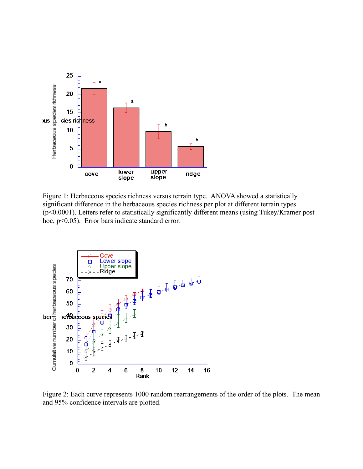

Figure 1: Herbaceous species richness versus terrain type. ANOVA showed a statistically significant difference in the herbaceous species richness per plot at different terrain types (p<0.0001). Letters refer to statistically significantly different means (using Tukey/Kramer post hoc, p<0.05). Error bars indicate standard error.



Figure 2: Each curve represents 1000 random rearrangements of the order of the plots. The mean and 95% confidence intervals are plotted.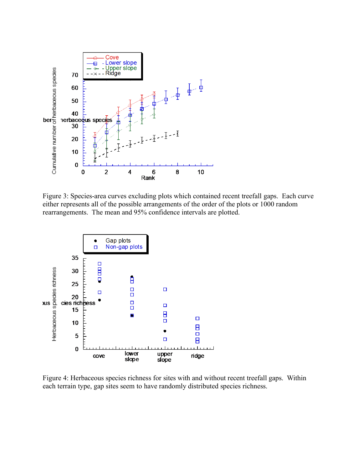

Figure 3: Species-area curves excluding plots which contained recent treefall gaps. Each curve either represents all of the possible arrangements of the order of the plots or 1000 random rearrangements. The mean and 95% confidence intervals are plotted.



Figure 4: Herbaceous species richness for sites with and without recent treefall gaps. Within each terrain type, gap sites seem to have randomly distributed species richness.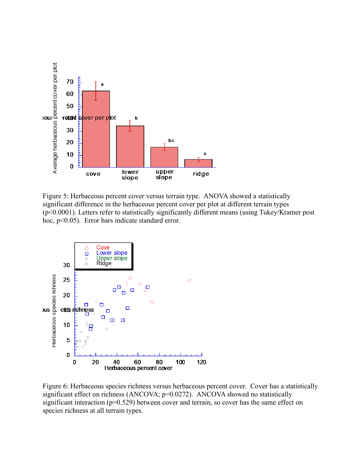

Figure 5: Herbaceous percent cover versus terrain type. ANOVA showed a statistically significant difference in the herbaceous percent cover per plot at different terrain types (p<0.0001). Letters refer to statistically significantly different means (using Tukey/Kramer post hoc, p<0.05). Error bars indicate standard error.



Figure 6: Herbaceous species richness versus herbaceous percent cover. Cover has a statistically significant effect on richness (ANCOVA; p=0.0272). ANCOVA showed no statistically significant interaction ( $p=0.529$ ) between cover and terrain, so cover has the same effect on species richness at all terrain types.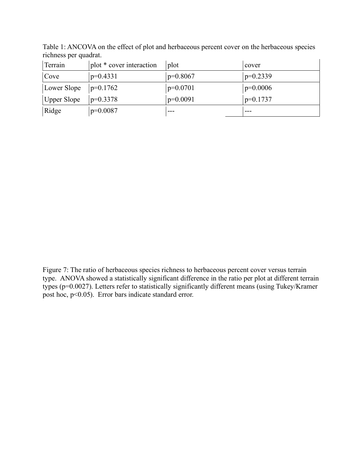| Terrain     | plot * cover interaction | plot       | cover      |
|-------------|--------------------------|------------|------------|
| Cove        | $p=0.4331$               | $p=0.8067$ | $p=0.2339$ |
| Lower Slope | $p=0.1762$               | $p=0.0701$ | $p=0.0006$ |
| Upper Slope | $p=0.3378$               | $p=0.0091$ | $p=0.1737$ |
| Ridge       | $p=0.0087$               | ---        |            |

Table 1: ANCOVA on the effect of plot and herbaceous percent cover on the herbaceous species richness per quadrat.

Figure 7: The ratio of herbaceous species richness to herbaceous percent cover versus terrain type. ANOVA showed a statistically significant difference in the ratio per plot at different terrain types ( $p=0.0027$ ). Letters refer to statistically significantly different means (using Tukey/Kramer post hoc,  $p<0.05$ ). Error bars indicate standard error.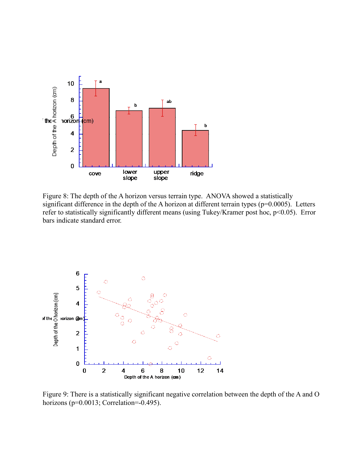

Figure 8: The depth of the A horizon versus terrain type. ANOVA showed a statistically significant difference in the depth of the A horizon at different terrain types ( $p=0.0005$ ). Letters refer to statistically significantly different means (using Tukey/Kramer post hoc, p<0.05). Error bars indicate standard error.



Figure 9: There is a statistically significant negative correlation between the depth of the A and O horizons (p=0.0013; Correlation=-0.495).